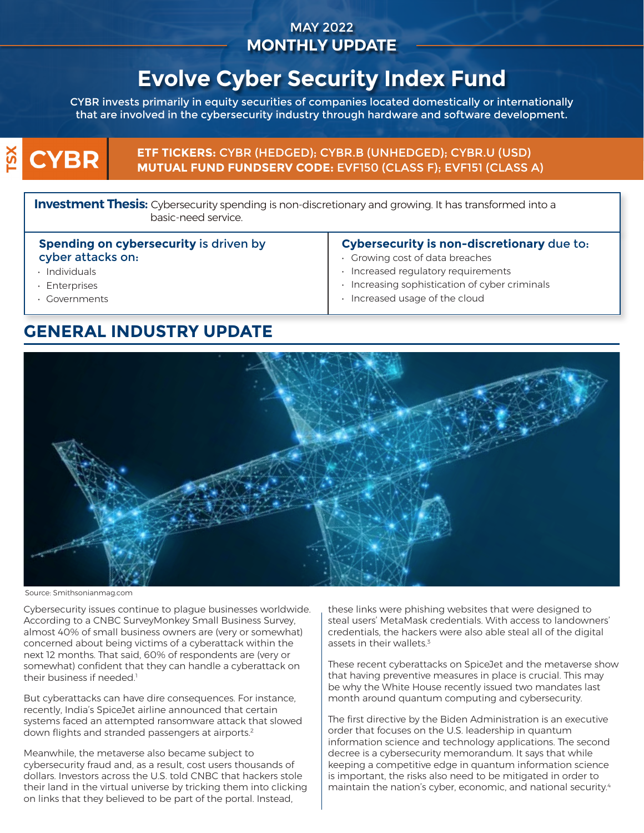## MAY 2022 **MONTHLY UPDATE**

# **Evolve Cyber Security Index Fund**

CYBR invests primarily in equity securities of companies located domestically or internationally that are involved in the cybersecurity industry through hardware and software development.

## $\boldsymbol{\aleph}$ **CYBR**

**ETF TICKERS:** CYBR (HEDGED); CYBR.B (UNHEDGED); CYBR.U (USD) **MUTUAL FUND FUNDSERV CODE:** EVF150 (CLASS F); EVF151 (CLASS A)

**Investment Thesis:** Cybersecurity spending is non-discretionary and growing. It has transformed into a basic-need service.

#### **Spending on cybersecurity** is driven by cyber attacks on:

- Individuals
- Enterprises
- Governments

#### **Cybersecurity is non-discretionary** due to:

- Growing cost of data breaches
- Increased regulatory requirements
- Increasing sophistication of cyber criminals
- Increased usage of the cloud

# **GENERAL INDUSTRY UPDATE**



Source: Smithsonianmag.com

Cybersecurity issues continue to plague businesses worldwide. According to a CNBC SurveyMonkey Small Business Survey, almost 40% of small business owners are (very or somewhat) concerned about being victims of a cyberattack within the next 12 months. That said, 60% of respondents are (very or somewhat) confident that they can handle a cyberattack on their business if needed.<sup>1</sup>

But cyberattacks can have dire consequences. For instance, recently, India's SpiceJet airline announced that certain systems faced an attempted ransomware attack that slowed down flights and stranded passengers at airports. $2$ 

Meanwhile, the metaverse also became subject to cybersecurity fraud and, as a result, cost users thousands of dollars. Investors across the U.S. told CNBC that hackers stole their land in the virtual universe by tricking them into clicking on links that they believed to be part of the portal. Instead,

these links were phishing websites that were designed to steal users' MetaMask credentials. With access to landowners' credentials, the hackers were also able steal all of the digital assets in their wallets.<sup>3</sup>

These recent cyberattacks on SpiceJet and the metaverse show that having preventive measures in place is crucial. This may be why the White House recently issued two mandates last month around quantum computing and cybersecurity.

The first directive by the Biden Administration is an executive order that focuses on the U.S. leadership in quantum information science and technology applications. The second decree is a cybersecurity memorandum. It says that while keeping a competitive edge in quantum information science is important, the risks also need to be mitigated in order to maintain the nation's cyber, economic, and national security.<sup>4</sup>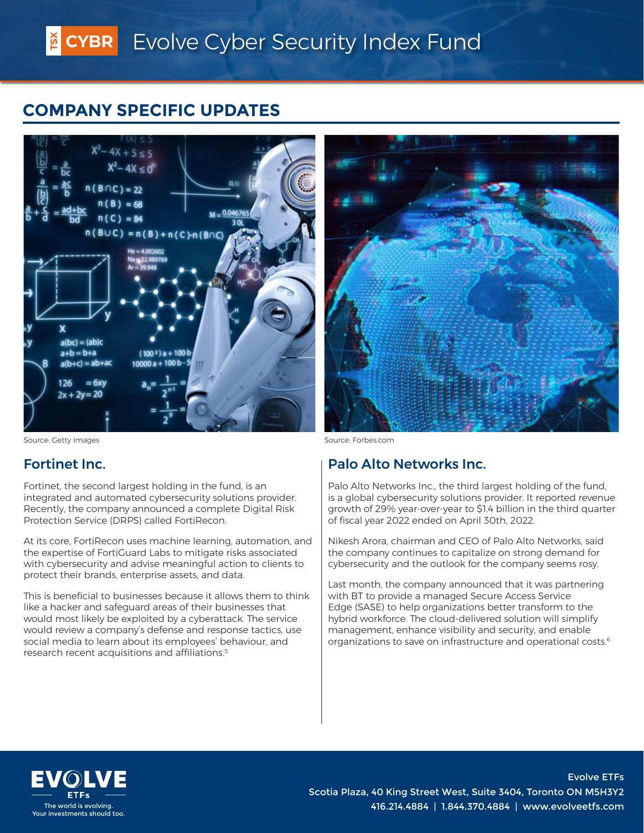# **COMPANY SPECIFIC UPDATES**



Source: Getty Images **Source: Source: Source: Forbes.com** 

### Fortinet Inc.

Fortinet, the second largest holding in the fund, is an integrated and automated cybersecurity solutions provider. Recently, the company announced a complete Digital Risk Protection Service (DRPS) called FortiRecon.

At its core, FortiRecon uses machine learning, automation, and the expertise of FortiGuard Labs to mitigate risks associated with cybersecurity and advise meaningful action to clients to protect their brands, enterprise assets, and data.

This is beneficial to businesses because it allows them to think like a hacker and safeguard areas of their businesses that would most likely be exploited by a cyberattack. The service would review a company's defense and response tactics, use social media to learn about its employees' behaviour, and research recent acquisitions and affiliations.5



# Palo Alto Networks Inc.

Palo Alto Networks Inc., the third largest holding of the fund, is a global cybersecurity solutions provider. It reported revenue growth of 29% year-over-year to \$1.4 billion in the third quarter of fiscal year 2022 ended on April 30th, 2022.

Nikesh Arora, chairman and CEO of Palo Alto Networks, said the company continues to capitalize on strong demand for cybersecurity and the outlook for the company seems rosy.

Last month, the company announced that it was partnering with BT to provide a managed Secure Access Service Edge (SASE) to help organizations better transform to the hybrid workforce. The cloud-delivered solution will simplify management, enhance visibility and security, and enable organizations to save on infrastructure and operational costs.<sup>6</sup>



Evolve ETFs Scotia Plaza, 40 King Street West, Suite 3404, Toronto ON M5H3Y2 The world is evolving.<br>Your investments should too. And the state of the state of the state of the state of the state of the state of<br>Your investments should too.